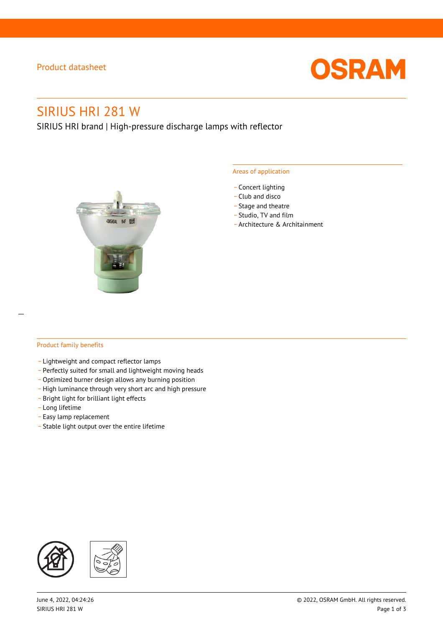# Product datasheet



# SIRIUS HRI 281 W

SIRIUS HRI brand | High-pressure discharge lamps with reflector



#### Areas of application

- Concert lighting
- \_ Club and disco
- Stage and theatre
- \_ Studio, TV and film
- \_ Architecture & Architainment

### Product family benefits

- \_ Lightweight and compact reflector lamps
- \_ Perfectly suited for small and lightweight moving heads
- Optimized burner design allows any burning position
- High luminance through very short arc and high pressure
- \_ Bright light for brilliant light effects
- \_ Long lifetime
- \_ Easy lamp replacement
- \_ Stable light output over the entire lifetime

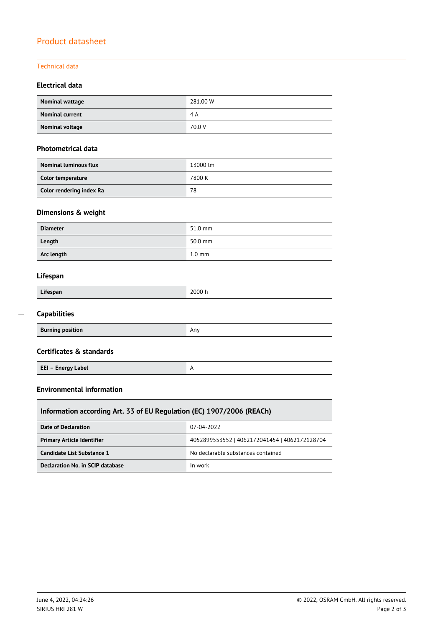# Product datasheet

### Technical data

### **Electrical data**

| Nominal wattage        | 281.00 W |
|------------------------|----------|
| <b>Nominal current</b> | 4 A      |
| Nominal voltage        | 70.0 V   |

#### **Photometrical data**

| <b>Nominal luminous flux</b> | 13000 lm |
|------------------------------|----------|
| Color temperature            | 7800 K   |
| Color rendering index Ra     | 78       |

# **Dimensions & weight**

| <b>Diameter</b> | 51.0 mm          |
|-----------------|------------------|
| Length          | 50.0 mm          |
| Arc length      | $1.0 \text{ mm}$ |

### **Lifespan**

 $\overline{a}$ 

| Lifespan                | 2000 h |
|-------------------------|--------|
| <b>Capabilities</b>     |        |
| <b>Burning position</b> | Any    |
|                         |        |

### **Certificates & standards**

**EEI – Energy Label** A

ī

### **Environmental information**

| Information according Art. 33 of EU Regulation (EC) 1907/2006 (REACh) |                                               |  |  |  |
|-----------------------------------------------------------------------|-----------------------------------------------|--|--|--|
| Date of Declaration                                                   | 07-04-2022                                    |  |  |  |
| <b>Primary Article Identifier</b>                                     | 4052899553552   4062172041454   4062172128704 |  |  |  |
| Candidate List Substance 1                                            | No declarable substances contained            |  |  |  |
| Declaration No. in SCIP database                                      | In work                                       |  |  |  |